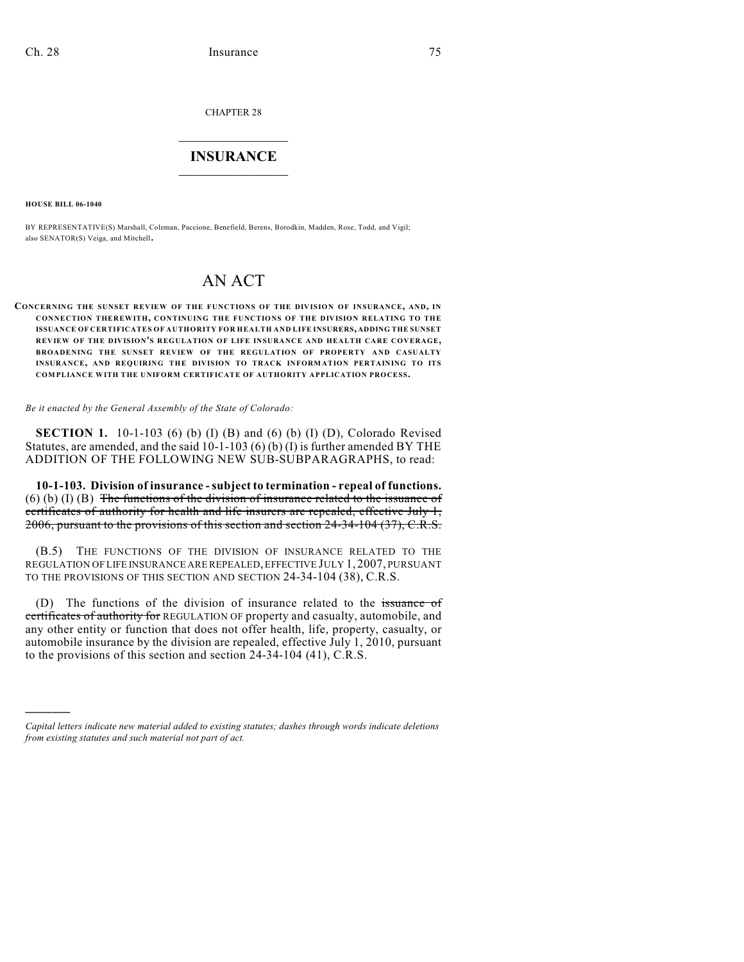CHAPTER 28

## $\mathcal{L}_\text{max}$  . The set of the set of the set of the set of the set of the set of the set of the set of the set of the set of the set of the set of the set of the set of the set of the set of the set of the set of the set **INSURANCE**  $\frac{1}{2}$  ,  $\frac{1}{2}$  ,  $\frac{1}{2}$  ,  $\frac{1}{2}$  ,  $\frac{1}{2}$  ,  $\frac{1}{2}$  ,  $\frac{1}{2}$

**HOUSE BILL 06-1040**

)))))

BY REPRESENTATIVE(S) Marshall, Coleman, Paccione, Benefield, Berens, Borodkin, Madden, Rose, Todd, and Vigil; also SENATOR(S) Veiga, and Mitchell.

## AN ACT

## **CONCERNING THE SUNSET REVIEW OF THE FUNCTIONS OF THE DIVISION OF INSURANCE, AND, IN CONNECTION THEREWITH, CONTINUING THE FUNCTIONS OF THE DIVISION RELATING TO THE ISSUANCE OF CERTIFICATES OF AUTHORITY FOR HEALTH AND LIFE INSURERS, ADDING THE SUNSET REVIEW OF THE DIVISION'S REGULATION OF LIFE INSURANCE AND HEALTH CARE COVERAGE, BROADENING THE SUNSET REVIEW OF THE REGULATION OF PROPERTY AND CASUALTY INSURANCE, AND REQUIRING THE DIVISION TO TRACK INFORMATION PERTAINING TO ITS COMPLIANCE WITH THE UNIFORM CERTIFICATE OF AUTHORITY APPLICATION PROCESS.**

*Be it enacted by the General Assembly of the State of Colorado:*

**SECTION 1.** 10-1-103 (6) (b) (I) (B) and (6) (b) (I) (D), Colorado Revised Statutes, are amended, and the said  $10-1-103$  (6) (b) (I) is further amended BY THE ADDITION OF THE FOLLOWING NEW SUB-SUBPARAGRAPHS, to read:

**10-1-103. Division of insurance - subject to termination - repeal of functions.**  $(6)$  (b) (I) (B) The functions of the division of insurance related to the issuance of certificates of authority for health and life insurers are repealed, effective July 1, 2006, pursuant to the provisions of this section and section 24-34-104 (37), C.R.S.

(B.5) THE FUNCTIONS OF THE DIVISION OF INSURANCE RELATED TO THE REGULATION OF LIFE INSURANCE ARE REPEALED, EFFECTIVE JULY 1, 2007, PURSUANT TO THE PROVISIONS OF THIS SECTION AND SECTION 24-34-104 (38), C.R.S.

(D) The functions of the division of insurance related to the issuance of certificates of authority for REGULATION OF property and casualty, automobile, and any other entity or function that does not offer health, life, property, casualty, or automobile insurance by the division are repealed, effective July 1, 2010, pursuant to the provisions of this section and section 24-34-104 (41), C.R.S.

*Capital letters indicate new material added to existing statutes; dashes through words indicate deletions from existing statutes and such material not part of act.*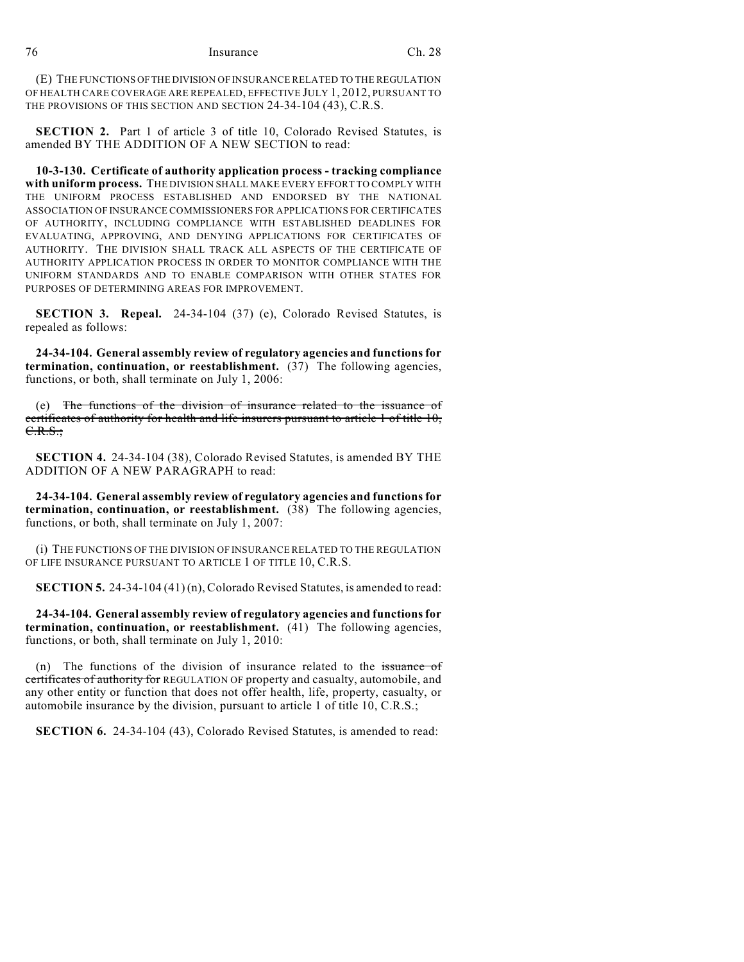(E) THE FUNCTIONS OF THE DIVISION OF INSURANCE RELATED TO THE REGULATION OF HEALTH CARE COVERAGE ARE REPEALED, EFFECTIVE JULY 1, 2012, PURSUANT TO THE PROVISIONS OF THIS SECTION AND SECTION 24-34-104 (43), C.R.S.

**SECTION 2.** Part 1 of article 3 of title 10, Colorado Revised Statutes, is amended BY THE ADDITION OF A NEW SECTION to read:

**10-3-130. Certificate of authority application process - tracking compliance with uniform process.** THE DIVISION SHALL MAKE EVERY EFFORT TO COMPLY WITH THE UNIFORM PROCESS ESTABLISHED AND ENDORSED BY THE NATIONAL ASSOCIATION OF INSURANCE COMMISSIONERS FOR APPLICATIONS FOR CERTIFICATES OF AUTHORITY, INCLUDING COMPLIANCE WITH ESTABLISHED DEADLINES FOR EVALUATING, APPROVING, AND DENYING APPLICATIONS FOR CERTIFICATES OF AUTHORITY. THE DIVISION SHALL TRACK ALL ASPECTS OF THE CERTIFICATE OF AUTHORITY APPLICATION PROCESS IN ORDER TO MONITOR COMPLIANCE WITH THE UNIFORM STANDARDS AND TO ENABLE COMPARISON WITH OTHER STATES FOR PURPOSES OF DETERMINING AREAS FOR IMPROVEMENT.

**SECTION 3. Repeal.** 24-34-104 (37) (e), Colorado Revised Statutes, is repealed as follows:

**24-34-104. General assembly review of regulatory agencies and functions for termination, continuation, or reestablishment.** (37) The following agencies, functions, or both, shall terminate on July 1, 2006:

(e) The functions of the division of insurance related to the issuance of certificates of authority for health and life insurers pursuant to article 1 of title 10,  $C.R.S.$ ;

**SECTION 4.** 24-34-104 (38), Colorado Revised Statutes, is amended BY THE ADDITION OF A NEW PARAGRAPH to read:

**24-34-104. General assembly review of regulatory agencies and functions for termination, continuation, or reestablishment.** (38) The following agencies, functions, or both, shall terminate on July 1, 2007:

(i) THE FUNCTIONS OF THE DIVISION OF INSURANCE RELATED TO THE REGULATION OF LIFE INSURANCE PURSUANT TO ARTICLE 1 OF TITLE 10, C.R.S.

**SECTION 5.** 24-34-104 (41) (n), Colorado Revised Statutes, is amended to read:

**24-34-104. General assembly review of regulatory agencies and functions for termination, continuation, or reestablishment.** (41) The following agencies, functions, or both, shall terminate on July 1, 2010:

(n) The functions of the division of insurance related to the issuance of certificates of authority for REGULATION OF property and casualty, automobile, and any other entity or function that does not offer health, life, property, casualty, or automobile insurance by the division, pursuant to article 1 of title 10, C.R.S.;

**SECTION 6.** 24-34-104 (43), Colorado Revised Statutes, is amended to read: